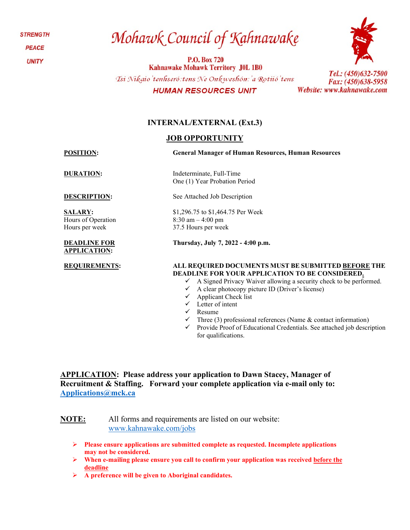**STRENGTH PEACE** 

**UNITY** 

# Mohawk Council of Kahnawake

P.O. Box 720 Kahnawake Mohawk Territory J0L 1B0 Tsi Nikaio'tenhseró: tens Ne Onkweshón: 'a Rotiió' tens **HUMAN RESOURCES UNIT** 



### **INTERNAL/EXTERNAL (Ext.3)**

#### **JOB OPPORTUNITY**

**POSITION: General Manager of Human Resources, Human Resources**

**SALARY:**  Hours of Operation Hours per week

#### **DEADLINE FOR APPLICATION:**

**DURATION:** Indeterminate, Full-Time One (1) Year Probation Period

**DESCRIPTION:** See Attached Job Description

\$1,296.75 to \$1,464.75 Per Week 8:30 am – 4:00 pm 37.5 Hours per week

**Thursday, July 7, 2022 - 4:00 p.m.**

#### **REQUIREMENTS: ALL REQUIRED DOCUMENTS MUST BE SUBMITTED BEFORE THE DEADLINE FOR YOUR APPLICATION TO BE CONSIDERED.**

- $\checkmark$  A Signed Privacy Waiver allowing a security check to be performed.
- $\checkmark$  A clear photocopy picture ID (Driver's license)
- $\checkmark$  Applicant Check list
- Letter of intent
- $\checkmark$  Resume
- $\checkmark$  Three (3) professional references (Name & contact information)
- $\checkmark$  Provide Proof of Educational Credentials. See attached job description for qualifications.

**APPLICATION: Please address your application to Dawn Stacey, Manager of Recruitment & Staffing. Forward your complete application via e-mail only to: [Applications@mck.ca](mailto:Applications@mck.ca)**

**NOTE:** All forms and requirements are listed on our website: [www.kahnawake.com/jobs](http://www.kahnawake.com/jobs)

- **Please ensure applications are submitted complete as requested. Incomplete applications may not be considered.**
- **When e-mailing please ensure you call to confirm your application was received before the deadline**
- **A preference will be given to Aboriginal candidates.**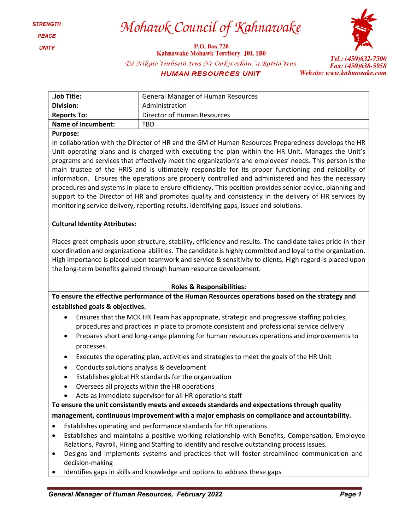Mohawk Council of Kahnawake

**P.O. Box 720** 

**Kahnawake Mohawk Territory J0L 1B0** 



Tsi Nikaio'tenhseró: tens Ne Onkweshón: 'a Rotiió'tens

**HUMAN RESOURCES UNIT** 

Tel.: (450)632-7500 Fax: (450)638-5958 Website: www.kahnawake.com

| <b>General Manager of Human Resources</b> |  |  |
|-------------------------------------------|--|--|
| Administration                            |  |  |
| Director of Human Resources               |  |  |
| TBD                                       |  |  |
|                                           |  |  |

#### **Purpose:**

In collaboration with the Director of HR and the GM of Human Resources Preparedness develops the HR Unit operating plans and is charged with executing the plan within the HR Unit. Manages the Unit's programs and services that effectively meet the organization's and employees' needs. This person is the main trustee of the HRIS and is ultimately responsible for its proper functioning and reliability of information. Ensures the operations are properly controlled and administered and has the necessary procedures and systems in place to ensure efficiency. This position provides senior advice, planning and support to the Director of HR and promotes quality and consistency in the delivery of HR services by monitoring service delivery, reporting results, identifying gaps, issues and solutions.

#### **Cultural Identity Attributes:**

Places great emphasis upon structure, stability, efficiency and results. The candidate takes pride in their coordination and organizational abilities. The candidate is highly committed and loyal to the organization. High importance is placed upon teamwork and service & sensitivity to clients. High regard is placed upon the long-term benefits gained through human resource development.

#### **Roles & Responsibilities:**

**To ensure the effective performance of the Human Resources operations based on the strategy and established goals & objectives.**

- Ensures that the MCK HR Team has appropriate, strategic and progressive staffing policies, procedures and practices in place to promote consistent and professional service delivery
- Prepares short and long-range planning for human resources operations and improvements to processes.
- Executes the operating plan, activities and strategies to meet the goals of the HR Unit
- Conducts solutions analysis & development
- Establishes global HR standards for the organization
- Oversees all projects within the HR operations
- Acts as immediate supervisor for all HR operations staff

**To ensure the unit consistently meets and exceeds standards and expectations through quality management, continuous improvement with a major emphasis on compliance and accountability.**

- Establishes operating and performance standards for HR operations
- Establishes and maintains a positive working relationship with Benefits, Compensation, Employee Relations, Payroll, Hiring and Staffing to identify and resolve outstanding process issues.
- Designs and implements systems and practices that will foster streamlined communication and decision-making
- Identifies gaps in skills and knowledge and options to address these gaps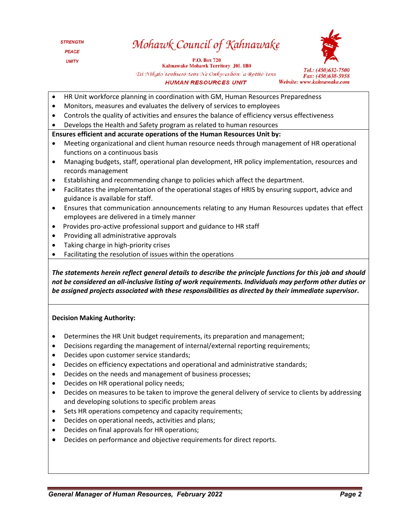## Mohawk Council of Kahnawake

P.O. Box 720 Kahnawake Mohawk Territory J0L 1B0 Tsi Nikaio'tenhseró: tens Ne Onkweshón: 'a Rotiió'tens **HUMAN RESOURCES UNIT** 



- HR Unit workforce planning in coordination with GM, Human Resources Preparedness
- Monitors, measures and evaluates the delivery of services to employees
- Controls the quality of activities and ensures the balance of efficiency versus effectiveness
- Develops the Health and Safety program as related to human resources

#### **Ensures efficient and accurate operations of the Human Resources Unit by:**

- Meeting organizational and client human resource needs through management of HR operational functions on a continuous basis
- Managing budgets, staff, operational plan development, HR policy implementation, resources and records management
- Establishing and recommending change to policies which affect the department.
- Facilitates the implementation of the operational stages of HRIS by ensuring support, advice and guidance is available for staff.
- Ensures that communication announcements relating to any Human Resources updates that effect employees are delivered in a timely manner
- Provides pro-active professional support and guidance to HR staff
- Providing all administrative approvals
- Taking charge in high-priority crises
- Facilitating the resolution of issues within the operations

*The statements herein reflect general details to describe the principle functions for this job and should not be considered an all-inclusive listing of work requirements. Individuals may perform other duties or be assigned projects associated with these responsibilities as directed by their immediate supervisor***.**

#### **Decision Making Authority:**

- Determines the HR Unit budget requirements, its preparation and management;
- Decisions regarding the management of internal/external reporting requirements;
- Decides upon customer service standards;
- Decides on efficiency expectations and operational and administrative standards;
- Decides on the needs and management of business processes;
- Decides on HR operational policy needs;
- Decides on measures to be taken to improve the general delivery of service to clients by addressing and developing solutions to specific problem areas
- Sets HR operations competency and capacity requirements;
- Decides on operational needs, activities and plans;
- Decides on final approvals for HR operations;
- Decides on performance and objective requirements for direct reports.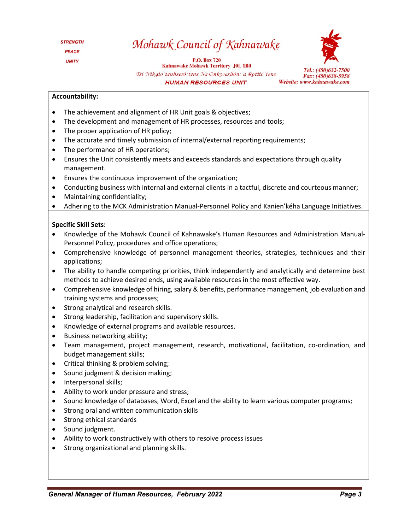### Mohawk Council of Kahnawake

P.O. Box 720 Kahnawake Mohawk Territory J0L 1B0 Tsi Nikaio'tenhseró: tens Ne Onkweshón: 'a Rotiió'tens **HUMAN RESOURCES UNIT** 



Fax: (450)638-5958 Website: www.kahnawake.com

#### **Accountability:**

- The achievement and alignment of HR Unit goals & objectives;
- The development and management of HR processes, resources and tools;
- The proper application of HR policy;
- The accurate and timely submission of internal/external reporting requirements;
- The performance of HR operations;
- Ensures the Unit consistently meets and exceeds standards and expectations through quality management.
- Ensures the continuous improvement of the organization;
- Conducting business with internal and external clients in a tactful, discrete and courteous manner;
- Maintaining confidentiality;
- Adhering to the MCK Administration Manual-Personnel Policy and Kanien'kéha Language Initiatives.

#### **Specific Skill Sets:**

- Knowledge of the Mohawk Council of Kahnawake's Human Resources and Administration Manual-Personnel Policy, procedures and office operations;
- Comprehensive knowledge of personnel management theories, strategies, techniques and their applications;
- The ability to handle competing priorities, think independently and analytically and determine best methods to achieve desired ends, using available resources in the most effective way.
- Comprehensive knowledge of hiring, salary & benefits, performance management, job evaluation and training systems and processes;
- Strong analytical and research skills.
- Strong leadership, facilitation and supervisory skills.
- Knowledge of external programs and available resources.
- Business networking ability;
- Team management, project management, research, motivational, facilitation, co-ordination, and budget management skills;
- Critical thinking & problem solving;
- Sound judgment & decision making;
- Interpersonal skills;
- Ability to work under pressure and stress;
- Sound knowledge of databases, Word, Excel and the ability to learn various computer programs;
- Strong oral and written communication skills
- Strong ethical standards
- Sound judgment.
- Ability to work constructively with others to resolve process issues
- Strong organizational and planning skills.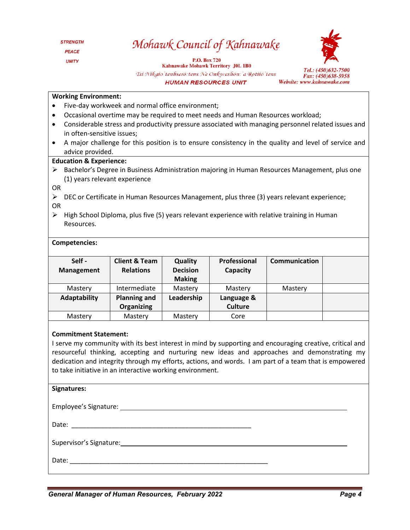### Mohawk Council of Kahnawake

**P.O. Box 720** 

**Kahnawake Mohawk Territory J0L 1B0** Tsi Nikaio'tenhseró: tens Ne Onkweshón: 'a Rotiió'tens **HUMAN RESOURCES UNIT** 



#### **Working Environment:**

- Five-day workweek and normal office environment;
- Occasional overtime may be required to meet needs and Human Resources workload;
- Considerable stress and productivity pressure associated with managing personnel related issues and in often-sensitive issues;
- A major challenge for this position is to ensure consistency in the quality and level of service and advice provided.

#### **Education & Experience:**

- $\triangleright$  Bachelor's Degree in Business Administration majoring in Human Resources Management, plus one (1) years relevant experience
- OR
- $\triangleright$  DEC or Certificate in Human Resources Management, plus three (3) years relevant experience; OR
- $\triangleright$  High School Diploma, plus five (5) years relevant experience with relative training in Human Resources.

#### **Competencies:**

| Self-<br><b>Management</b> | <b>Client &amp; Team</b><br><b>Relations</b> | Quality<br><b>Decision</b><br><b>Making</b> | Professional<br>Capacity     | <b>Communication</b> |  |
|----------------------------|----------------------------------------------|---------------------------------------------|------------------------------|----------------------|--|
| Mastery                    | Intermediate                                 | Mastery                                     | Mastery                      | Mastery              |  |
| <b>Adaptability</b>        | <b>Planning and</b><br>Organizing            | Leadership                                  | Language &<br><b>Culture</b> |                      |  |
| Mastery                    | Mastery                                      | Mastery                                     | Core                         |                      |  |

#### **Commitment Statement:**

I serve my community with its best interest in mind by supporting and encouraging creative, critical and resourceful thinking, accepting and nurturing new ideas and approaches and demonstrating my dedication and integrity through my efforts, actions, and words. I am part of a team that is empowered to take initiative in an interactive working environment.

| Signatures: |  |
|-------------|--|
|             |  |
|             |  |
|             |  |
|             |  |